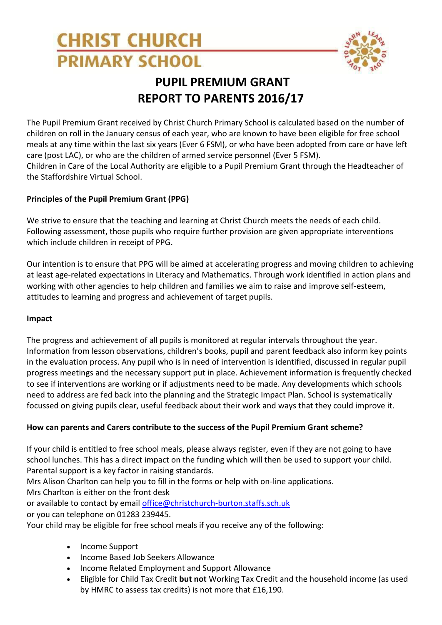# **CHRIST CHURCH PRIMARY SCHOOL**



## **PUPIL PREMIUM GRANT REPORT TO PARENTS 2016/17**

The Pupil Premium Grant received by Christ Church Primary School is calculated based on the number of children on roll in the January census of each year, who are known to have been eligible for free school meals at any time within the last six years (Ever 6 FSM), or who have been adopted from care or have left care (post LAC), or who are the children of armed service personnel (Ever 5 FSM). Children in Care of the Local Authority are eligible to a Pupil Premium Grant through the Headteacher of the Staffordshire Virtual School.

## **Principles of the Pupil Premium Grant (PPG)**

We strive to ensure that the teaching and learning at Christ Church meets the needs of each child. Following assessment, those pupils who require further provision are given appropriate interventions which include children in receipt of PPG.

Our intention is to ensure that PPG will be aimed at accelerating progress and moving children to achieving at least age-related expectations in Literacy and Mathematics. Through work identified in action plans and working with other agencies to help children and families we aim to raise and improve self-esteem, attitudes to learning and progress and achievement of target pupils.

## **Impact**

The progress and achievement of all pupils is monitored at regular intervals throughout the year. Information from lesson observations, children's books, pupil and parent feedback also inform key points in the evaluation process. Any pupil who is in need of intervention is identified, discussed in regular pupil progress meetings and the necessary support put in place. Achievement information is frequently checked to see if interventions are working or if adjustments need to be made. Any developments which schools need to address are fed back into the planning and the Strategic Impact Plan. School is systematically focussed on giving pupils clear, useful feedback about their work and ways that they could improve it.

## **How can parents and Carers contribute to the success of the Pupil Premium Grant scheme?**

If your child is entitled to free school meals, please always register, even if they are not going to have school lunches. This has a direct impact on the funding which will then be used to support your child. Parental support is a key factor in raising standards.

Mrs Alison Charlton can help you to fill in the forms or help with on-line applications. Mrs Charlton is either on the front desk

or available to contact by email [office@christchurch-burton.staffs.sch.uk](mailto:office@christchurch-burton.staffs.sch.uk) or you can telephone on 01283 239445.

Your child may be eligible for free school meals if you receive any of the following:

- Income Support
- Income Based Job Seekers Allowance
- Income Related Employment and Support Allowance
- Eligible for Child Tax Credit **but not** Working Tax Credit and the household income (as used by HMRC to assess tax credits) is not more that £16,190.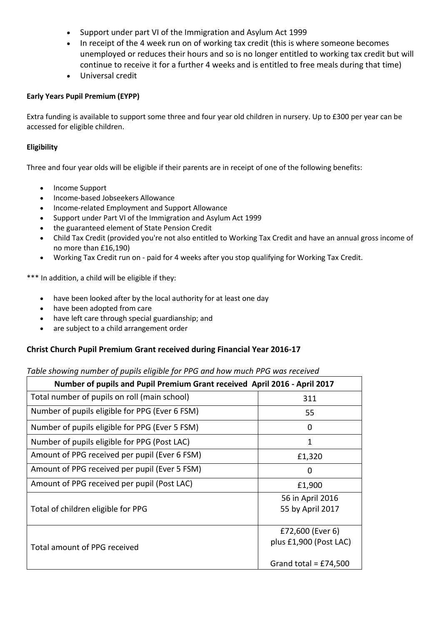- Support under part VI of the Immigration and Asylum Act 1999
- In receipt of the 4 week run on of working tax credit (this is where someone becomes unemployed or reduces their hours and so is no longer entitled to working tax credit but will continue to receive it for a further 4 weeks and is entitled to free meals during that time)
- Universal credit

#### **Early Years Pupil Premium (EYPP)**

Extra funding is available to support some three and four year old children in nursery. Up to £300 per year can be accessed for eligible children.

#### **Eligibility**

Three and four year olds will be eligible if their parents are in receipt of one of the following benefits:

- Income Support
- Income-based Jobseekers Allowance
- Income-related Employment and Support Allowance
- Support under Part VI of the Immigration and Asylum Act 1999
- the guaranteed element of State Pension Credit
- Child Tax Credit (provided you're not also entitled to Working Tax Credit and have an annual gross income of no more than £16,190)
- Working Tax Credit run on paid for 4 weeks after you stop qualifying for Working Tax Credit.

\*\*\* In addition, a child will be eligible if they:

- have been looked after by the local authority for at least one day
- have been adopted from care
- have left care through special guardianship; and
- are subject to a child arrangement order

#### **Christ Church Pupil Premium Grant received during Financial Year 2016-17**

#### *Table showing number of pupils eligible for PPG and how much PPG was received*

| Number of pupils and Pupil Premium Grant received April 2016 - April 2017 |                                                                     |
|---------------------------------------------------------------------------|---------------------------------------------------------------------|
| Total number of pupils on roll (main school)                              | 311                                                                 |
| Number of pupils eligible for PPG (Ever 6 FSM)                            | 55                                                                  |
| Number of pupils eligible for PPG (Ever 5 FSM)                            | 0                                                                   |
| Number of pupils eligible for PPG (Post LAC)                              | 1                                                                   |
| Amount of PPG received per pupil (Ever 6 FSM)                             | £1,320                                                              |
| Amount of PPG received per pupil (Ever 5 FSM)                             | 0                                                                   |
| Amount of PPG received per pupil (Post LAC)                               | £1,900                                                              |
| Total of children eligible for PPG                                        | 56 in April 2016<br>55 by April 2017                                |
| Total amount of PPG received                                              | £72,600 (Ever 6)<br>plus £1,900 (Post LAC)<br>Grand total = £74,500 |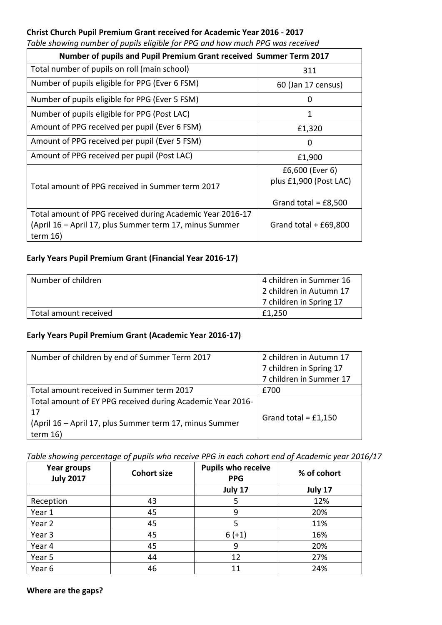#### **Christ Church Pupil Premium Grant received for Academic Year 2016 - 2017**

|  | Table showing number of pupils eligible for PPG and how much PPG was received |  |
|--|-------------------------------------------------------------------------------|--|
|  |                                                                               |  |

| Number of pupils and Pupil Premium Grant received Summer Term 2017                                                                 |                                           |  |  |  |  |  |  |  |
|------------------------------------------------------------------------------------------------------------------------------------|-------------------------------------------|--|--|--|--|--|--|--|
| Total number of pupils on roll (main school)                                                                                       | 311                                       |  |  |  |  |  |  |  |
| Number of pupils eligible for PPG (Ever 6 FSM)                                                                                     | 60 (Jan 17 census)                        |  |  |  |  |  |  |  |
| Number of pupils eligible for PPG (Ever 5 FSM)                                                                                     | 0                                         |  |  |  |  |  |  |  |
| Number of pupils eligible for PPG (Post LAC)                                                                                       | 1                                         |  |  |  |  |  |  |  |
| Amount of PPG received per pupil (Ever 6 FSM)                                                                                      | £1,320                                    |  |  |  |  |  |  |  |
| Amount of PPG received per pupil (Ever 5 FSM)                                                                                      | 0                                         |  |  |  |  |  |  |  |
| Amount of PPG received per pupil (Post LAC)                                                                                        | £1,900                                    |  |  |  |  |  |  |  |
| Total amount of PPG received in Summer term 2017                                                                                   | £6,600 (Ever 6)<br>plus £1,900 (Post LAC) |  |  |  |  |  |  |  |
|                                                                                                                                    | Grand total = $£8,500$                    |  |  |  |  |  |  |  |
| Total amount of PPG received during Academic Year 2016-17<br>(April 16 – April 17, plus Summer term 17, minus Summer<br>term $16)$ | Grand total $+$ £69,800                   |  |  |  |  |  |  |  |

## **Early Years Pupil Premium Grant (Financial Year 2016-17)**

| Number of children    | 4 children in Summer 16 |
|-----------------------|-------------------------|
|                       | 2 children in Autumn 17 |
|                       | 7 children in Spring 17 |
| Total amount received | £1.250                  |

#### **Early Years Pupil Premium Grant (Academic Year 2016-17)**

| Number of children by end of Summer Term 2017              | 2 children in Autumn 17 |  |  |
|------------------------------------------------------------|-------------------------|--|--|
|                                                            | 7 children in Spring 17 |  |  |
|                                                            | 7 children in Summer 17 |  |  |
| Total amount received in Summer term 2017                  | £700                    |  |  |
| Total amount of EY PPG received during Academic Year 2016- |                         |  |  |
| 17                                                         | Grand total = $£1,150$  |  |  |
| (April 16 - April 17, plus Summer term 17, minus Summer    |                         |  |  |
| term $16)$                                                 |                         |  |  |

*Table showing percentage of pupils who receive PPG in each cohort end of Academic year 2016/17*

| Year groups<br><b>July 2017</b> | <b>Cohort size</b> | <b>Pupils who receive</b><br><b>PPG</b> | % of cohort |  |  |
|---------------------------------|--------------------|-----------------------------------------|-------------|--|--|
|                                 |                    | July 17                                 | July 17     |  |  |
| Reception                       | 43                 | 5                                       | 12%         |  |  |
| Year 1                          | 45                 | 9                                       | 20%         |  |  |
| Year 2                          | 45                 | 5                                       | 11%         |  |  |
| Year 3                          | 45                 | $6 (+1)$                                | 16%         |  |  |
| Year 4                          | 45                 | 9                                       | 20%         |  |  |
| Year 5                          | 44                 | 12                                      | 27%         |  |  |
| Year 6                          | 46                 | 11                                      | 24%         |  |  |